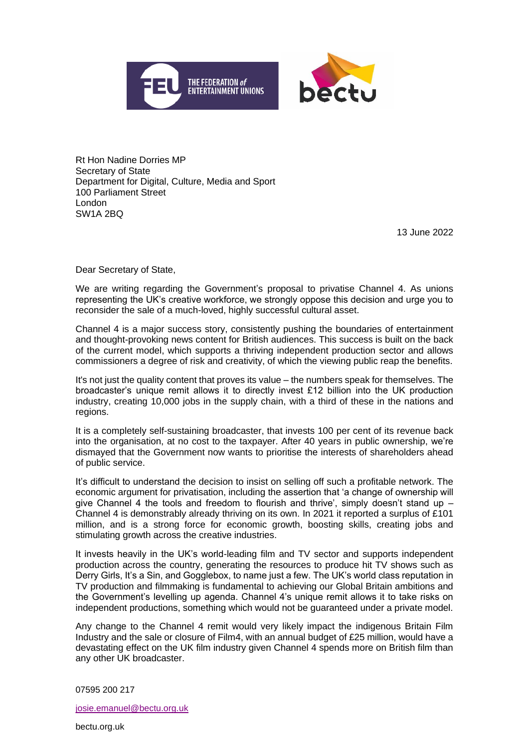



Rt Hon Nadine Dorries MP Secretary of State Department for Digital, Culture, Media and Sport 100 Parliament Street London SW1A 2BQ

13 June 2022

Dear Secretary of State,

We are writing regarding the Government's proposal to privatise Channel 4. As unions representing the UK's creative workforce, we strongly oppose this decision and urge you to reconsider the sale of a much-loved, highly successful cultural asset.

Channel 4 is a major success story, consistently pushing the boundaries of entertainment and thought-provoking news content for British audiences. This success is built on the back of the current model, which supports a thriving independent production sector and allows commissioners a degree of risk and creativity, of which the viewing public reap the benefits.

It's not just the quality content that proves its value – the numbers speak for themselves. The broadcaster's unique remit allows it to directly invest £12 billion into the UK production industry, creating 10,000 jobs in the supply chain, with a third of these in the nations and regions.

It is a completely self-sustaining broadcaster, that invests 100 per cent of its revenue back into the organisation, at no cost to the taxpayer. After 40 years in public ownership, we're dismayed that the Government now wants to prioritise the interests of shareholders ahead of public service.

It's difficult to understand the decision to insist on selling off such a profitable network. The economic argument for privatisation, including the assertion that 'a change of ownership will give Channel 4 the tools and freedom to flourish and thrive', simply doesn't stand up  $-$ Channel 4 is demonstrably already thriving on its own. In 2021 it reported a surplus of £101 million, and is a strong force for economic growth, boosting skills, creating jobs and stimulating growth across the creative industries.

It invests heavily in the UK's world-leading film and TV sector and supports independent production across the country, generating the resources to produce hit TV shows such as Derry Girls, It's a Sin, and Gogglebox, to name just a few. The UK's world class reputation in TV production and filmmaking is fundamental to achieving our Global Britain ambitions and the Government's levelling up agenda. Channel 4's unique remit allows it to take risks on independent productions, something which would not be guaranteed under a private model.

Any change to the Channel 4 remit would very likely impact the indigenous Britain Film Industry and the sale or closure of Film4, with an annual budget of £25 million, would have a devastating effect on the UK film industry given Channel 4 spends more on British film than any other UK broadcaster.

07595 200 217

josie.emanuel@bectu.org.uk

bectu.org.uk